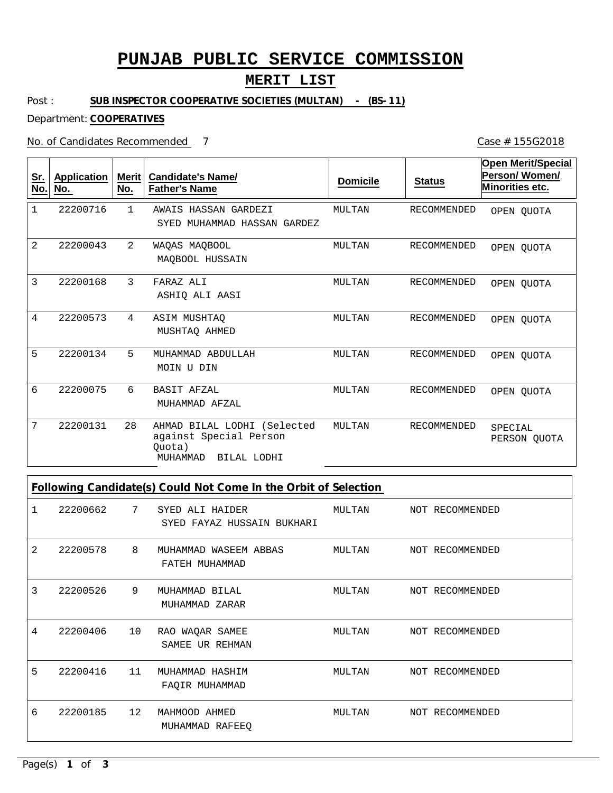# **PUNJAB PUBLIC SERVICE COMMISSION**

### **MERIT LIST**

Post : **SUB INSPECTOR COOPERATIVE SOCIETIES (MULTAN) - (BS-11)** 

Department: **COOPERATIVES**

No. of Candidates Recommended

Case # 155G2018

| <u>Sr.</u><br>No. | <b>Application</b><br>No. | <b>Merit</b><br>No. | <b>Candidate's Name/</b><br><b>Father's Name</b>                                           | <b>Domicile</b> | <b>Status</b>      | <b>Open Merit/Special</b><br>Person/Women/<br><b>Minorities etc.</b> |
|-------------------|---------------------------|---------------------|--------------------------------------------------------------------------------------------|-----------------|--------------------|----------------------------------------------------------------------|
| 1                 | 22200716                  | $\mathbf{1}$        | AWAIS HASSAN GARDEZI<br>SYED MUHAMMAD HASSAN GARDEZ                                        | MULTAN          | <b>RECOMMENDED</b> | OPEN OUOTA                                                           |
| 2                 | 22200043                  | 2                   | WAQAS MAQBOOL<br>MAQBOOL HUSSAIN                                                           | MULTAN          | <b>RECOMMENDED</b> | OPEN OUOTA                                                           |
| 3                 | 22200168                  | 3                   | FARAZ ALI<br>ASHIO ALI AASI                                                                | MULTAN          | RECOMMENDED        | OPEN OUOTA                                                           |
| 4                 | 22200573                  | 4                   | ASIM MUSHTAQ<br>MUSHTAO AHMED                                                              | MULTAN          | <b>RECOMMENDED</b> | OPEN OUOTA                                                           |
| 5                 | 22200134                  | 5                   | MUHAMMAD ABDULLAH<br>MOIN U DIN                                                            | MULTAN          | <b>RECOMMENDED</b> | OPEN OUOTA                                                           |
| 6                 | 22200075                  | 6                   | BASIT AFZAL<br>MUHAMMAD AFZAL                                                              | MULTAN          | <b>RECOMMENDED</b> | OPEN QUOTA                                                           |
| 7                 | 22200131                  | 28                  | AHMAD BILAL LODHI (Selected<br>against Special Person<br>Ouota)<br>BILAL LODHI<br>MUHAMMAD | MULTAN          | <b>RECOMMENDED</b> | SPECIAL<br>PERSON QUOTA                                              |

**Following Candidate(s) Could Not Come In the Orbit of Selection**

| 1 | 22200662 | $7\phantom{.0}$ | SYED ALI HAIDER<br>SYED FAYAZ HUSSAIN BUKHARI | MULTAN | NOT RECOMMENDED |
|---|----------|-----------------|-----------------------------------------------|--------|-----------------|
| 2 | 22200578 | 8               | MUHAMMAD WASEEM ABBAS<br>FATEH MUHAMMAD       | MULTAN | NOT RECOMMENDED |
| 3 | 22200526 | 9               | MUHAMMAD BILAL<br>MUHAMMAD ZARAR              | MULTAN | NOT RECOMMENDED |
| 4 | 22200406 | 10              | RAO WAQAR SAMEE<br>SAMEE UR REHMAN            | MULTAN | NOT RECOMMENDED |
| 5 | 22200416 | 11              | MUHAMMAD HASHIM<br>FAQIR MUHAMMAD             | MULTAN | NOT RECOMMENDED |
| 6 | 22200185 | 12              | MAHMOOD AHMED<br>MUHAMMAD RAFEEQ              | MULTAN | NOT RECOMMENDED |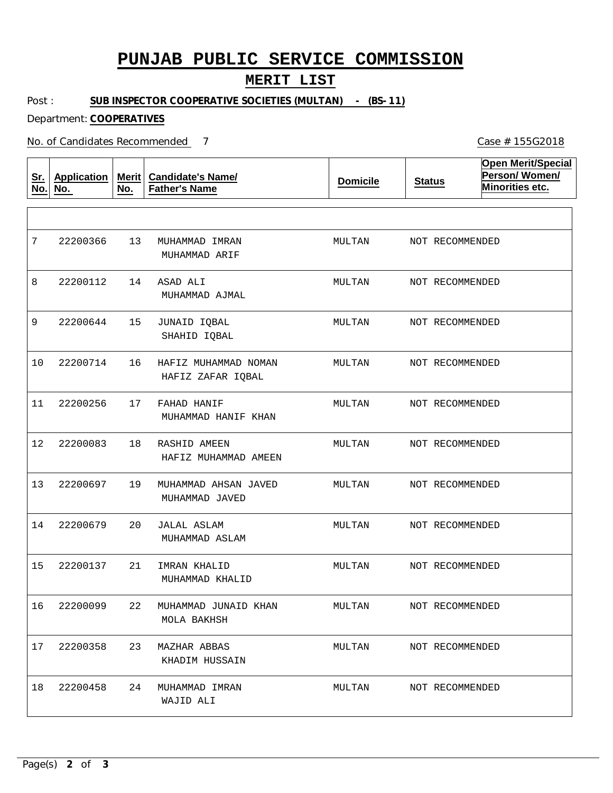## **PUNJAB PUBLIC SERVICE COMMISSION**

#### **MERIT LIST**

Post : **SUB INSPECTOR COOPERATIVE SOCIETIES (MULTAN) - (BS-11)**

Department: **COOPERATIVES**

No. of Candidates Recommended

**Sr. No. Application No. Merit No. Candidate's Name/ Father's Name Domicile Status Open Merit/Special Person/ Women/ Minorities etc.** 13 14 15 16 17 18 19 20 21 22 MUHAMMAD JUNAID KHAN 23 MAZHAR ABBAS 24 MUHAMMAD IMRAN ASAD ALI JUNAID IQBAL HAFIZ MUHAMMAD NOMAN FAHAD HANIF RASHID AMEEN MUHAMMAD AHSAN JAVED JALAL ASLAM IMRAN KHALID MUHAMMAD IMRAN MUHAMMAD ARIF MUHAMMAD AJMAL SHAHID IQBAL HAFIZ ZAFAR IQBAL MUHAMMAD HANIF KHAN HAFIZ MUHAMMAD AMEEN MUHAMMAD JAVED MUHAMMAD ASLAM MUHAMMAD KHALID MOLA BAKHSH KHADIM HUSSAIN WAJID ALI 7 8 9 10 11 12 13 14 15 16 17 22200358 18 22200366 22200112 22200644 22200714 22200256 22200083 22200697 22200679 22200137 22200099 22200458 MULTAN MULTAN MULTAN MULTAN MULTAN MULTAN MULTAN MULTAN MULTAN MULTAN MULTAN MULTAN NOT RECOMMENDED NOT RECOMMENDED NOT RECOMMENDED NOT RECOMMENDED NOT RECOMMENDED NOT RECOMMENDED NOT RECOMMENDED NOT RECOMMENDED NOT RECOMMENDED NOT RECOMMENDED NOT RECOMMENDED NOT RECOMMENDED

Case # 155G2018